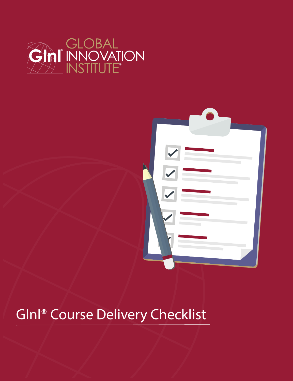



## GInI® Course Delivery Checklist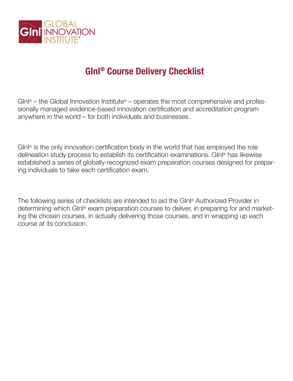

## **GInI® Course Delivery Checklist**

GInI® – the Global Innovation Institute® – operates the most comprehensive and professionally managed evidence-based innovation certification and accreditation program anywhere in the world – for both individuals and businesses.

GInI® is the only innovation certification body in the world that has employed the role delineation study process to establish its certification examinations. GInI® has likewise established a series of globally-recognized exam preparation courses designed for preparing individuals to take each certification exam.

The following series of checklists are intended to aid the GInI® Authorized Provider in determining which GInI® exam preparation courses to deliver, in preparing for and marketing the chosen courses, in actually delivering those courses, and in wrapping up each course at its conclusion.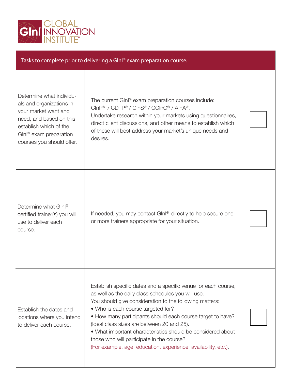

| Tasks to complete prior to delivering a Glnl® exam preparation course.                                                                                                                               |                                                                                                                                                                                                                                                                                                                                                                                                                                                                                                                 |  |  |  |
|------------------------------------------------------------------------------------------------------------------------------------------------------------------------------------------------------|-----------------------------------------------------------------------------------------------------------------------------------------------------------------------------------------------------------------------------------------------------------------------------------------------------------------------------------------------------------------------------------------------------------------------------------------------------------------------------------------------------------------|--|--|--|
| Determine what individu-<br>als and organizations in<br>your market want and<br>need, and based on this<br>establish which of the<br>GInl <sup>®</sup> exam preparation<br>courses you should offer. | The current GInl® exam preparation courses include:<br>CInP® / CDTP® / CInS® / CCInO® / AInA®.<br>Undertake research within your markets using questionnaires,<br>direct client discussions, and other means to establish which<br>of these will best address your market's unique needs and<br>desires.                                                                                                                                                                                                        |  |  |  |
| Determine what Glnl®<br>certified trainer(s) you will<br>use to deliver each<br>course.                                                                                                              | If needed, you may contact Ginl® directly to help secure one<br>or more trainers appropriate for your situation.                                                                                                                                                                                                                                                                                                                                                                                                |  |  |  |
| Establish the dates and<br>locations where you intend<br>to deliver each course.                                                                                                                     | Establish specific dates and a specific venue for each course,<br>as well as the daily class schedules you will use.<br>You should give consideration to the following matters:<br>• Who is each course targeted for?<br>• How many participants should each course target to have?<br>(Ideal class sizes are between 20 and 25).<br>. What important characteristics should be considered about<br>those who will participate in the course?<br>(For example, age, education, experience, availability, etc.). |  |  |  |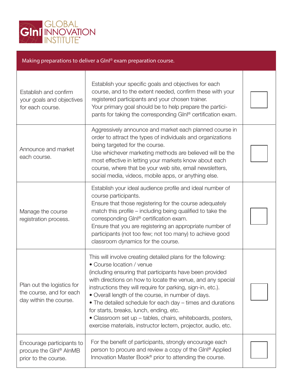

| Making preparations to deliver a Glnl® exam preparation course.                          |                                                                                                                                                                                                                                                                                                                                                                                                                                                                                                                                                                                    |  |  |  |
|------------------------------------------------------------------------------------------|------------------------------------------------------------------------------------------------------------------------------------------------------------------------------------------------------------------------------------------------------------------------------------------------------------------------------------------------------------------------------------------------------------------------------------------------------------------------------------------------------------------------------------------------------------------------------------|--|--|--|
| Establish and confirm<br>your goals and objectives<br>for each course.                   | Establish your specific goals and objectives for each<br>course, and to the extent needed, confirm these with your<br>registered participants and your chosen trainer.<br>Your primary goal should be to help prepare the partici-<br>pants for taking the corresponding GInl® certification exam.                                                                                                                                                                                                                                                                                 |  |  |  |
| Announce and market<br>each course.                                                      | Aggressively announce and market each planned course in<br>order to attract the types of individuals and organizations<br>being targeted for the course.<br>Use whichever marketing methods are believed will be the<br>most effective in letting your markets know about each<br>course, where that be your web site, email newsletters,<br>social media, videos, mobile apps, or anything else.                                                                                                                                                                                  |  |  |  |
| Manage the course<br>registration process.                                               | Establish your ideal audience profile and ideal number of<br>course participants.<br>Ensure that those registering for the course adequately<br>match this profile – including being qualified to take the<br>corresponding GInl® certification exam.<br>Ensure that you are registering an appropriate number of<br>participants (not too few; not too many) to achieve good<br>classroom dynamics for the course.                                                                                                                                                                |  |  |  |
| Plan out the logistics for<br>the course, and for each<br>day within the course.         | This will involve creating detailed plans for the following:<br>• Course location / venue<br>(including ensuring that participants have been provided<br>with directions on how to locate the venue, and any special<br>instructions they will require for parking, sign-in, etc.).<br>• Overall length of the course, in number of days.<br>• The detailed schedule for each day – times and durations<br>for starts, breaks, lunch, ending, etc.<br>• Classroom set up - tables, chairs, whiteboards, posters,<br>exercise materials, instructor lectern, projector, audio, etc. |  |  |  |
| Encourage participants to<br>procure the GInl <sup>®</sup> AInMB<br>prior to the course. | For the benefit of participants, strongly encourage each<br>person to procure and review a copy of the Glnl® Applied<br>Innovation Master Book® prior to attending the course.                                                                                                                                                                                                                                                                                                                                                                                                     |  |  |  |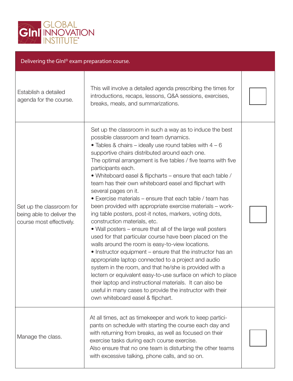

| Delivering the Glnl® exam preparation course.                                     |                                                                                                                                                                                                                                                                                                                                                                                                                                                                                                                                                                                                                                                                                                                                                                                                                                                                                                                                                                                                                                                                                                                                                                                                                                                                      |  |  |  |
|-----------------------------------------------------------------------------------|----------------------------------------------------------------------------------------------------------------------------------------------------------------------------------------------------------------------------------------------------------------------------------------------------------------------------------------------------------------------------------------------------------------------------------------------------------------------------------------------------------------------------------------------------------------------------------------------------------------------------------------------------------------------------------------------------------------------------------------------------------------------------------------------------------------------------------------------------------------------------------------------------------------------------------------------------------------------------------------------------------------------------------------------------------------------------------------------------------------------------------------------------------------------------------------------------------------------------------------------------------------------|--|--|--|
| Establish a detailed<br>agenda for the course.                                    | This will involve a detailed agenda prescribing the times for<br>introductions, recaps, lessons, Q&A sessions, exercises,<br>breaks, meals, and summarizations.                                                                                                                                                                                                                                                                                                                                                                                                                                                                                                                                                                                                                                                                                                                                                                                                                                                                                                                                                                                                                                                                                                      |  |  |  |
| Set up the classroom for<br>being able to deliver the<br>course most effectively. | Set up the classroom in such a way as to induce the best<br>possible classroom and team dynamics.<br>• Tables & chairs – ideally use round tables with $4 - 6$<br>supportive chairs distributed around each one.<br>The optimal arrangement is five tables / five teams with five<br>participants each.<br>• Whiteboard easel & flipcharts – ensure that each table /<br>team has their own whiteboard easel and flipchart with<br>several pages on it.<br>• Exercise materials – ensure that each table / team has<br>been provided with appropriate exercise materials - work-<br>ing table posters, post-it notes, markers, voting dots,<br>construction materials, etc.<br>• Wall posters – ensure that all of the large wall posters<br>used for that particular course have been placed on the<br>walls around the room is easy-to-view locations.<br>• Instructor equipment – ensure that the instructor has an<br>appropriate laptop connected to a project and audio<br>system in the room, and that he/she is provided with a<br>lectern or equivalent easy-to-use surface on which to place<br>their laptop and instructional materials. It can also be<br>useful in many cases to provide the instructor with their<br>own whiteboard easel & flipchart. |  |  |  |
| Manage the class.                                                                 | At all times, act as timekeeper and work to keep partici-<br>pants on schedule with starting the course each day and<br>with returning from breaks, as well as focused on their<br>exercise tasks during each course exercise.<br>Also ensure that no one team is disturbing the other teams<br>with excessive talking, phone calls, and so on.                                                                                                                                                                                                                                                                                                                                                                                                                                                                                                                                                                                                                                                                                                                                                                                                                                                                                                                      |  |  |  |